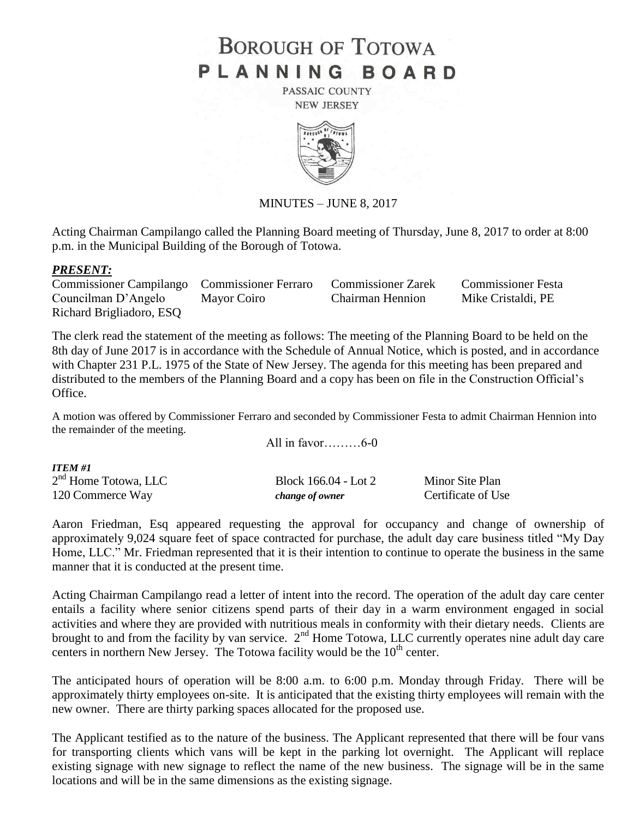## **BOROUGH OF TOTOWA** PLANNING BOARD

PASSAIC COUNTY **NEW JERSEY** 



MINUTES – JUNE 8, 2017

Acting Chairman Campilango called the Planning Board meeting of Thursday, June 8, 2017 to order at 8:00 p.m. in the Municipal Building of the Borough of Totowa.

## *PRESENT:*

*ITEM #1*

Commissioner Campilango Commissioner Ferraro Commissioner Zarek Commissioner Festa Councilman D'Angelo Mayor Coiro Chairman Hennion Mike Cristaldi, PE Richard Brigliadoro, ESQ

The clerk read the statement of the meeting as follows: The meeting of the Planning Board to be held on the 8th day of June 2017 is in accordance with the Schedule of Annual Notice, which is posted, and in accordance with Chapter 231 P.L. 1975 of the State of New Jersey. The agenda for this meeting has been prepared and distributed to the members of the Planning Board and a copy has been on file in the Construction Official's Office.

A motion was offered by Commissioner Ferraro and seconded by Commissioner Festa to admit Chairman Hennion into the remainder of the meeting.

All in favor………6-0

| TTEM #1                |                      |                    |
|------------------------|----------------------|--------------------|
| $2nd$ Home Totowa, LLC | Block 166.04 - Lot 2 | Minor Site Plan    |
| 120 Commerce Way       | change of owner      | Certificate of Use |

Aaron Friedman, Esq appeared requesting the approval for occupancy and change of ownership of approximately 9,024 square feet of space contracted for purchase, the adult day care business titled "My Day Home, LLC." Mr. Friedman represented that it is their intention to continue to operate the business in the same manner that it is conducted at the present time.

Acting Chairman Campilango read a letter of intent into the record. The operation of the adult day care center entails a facility where senior citizens spend parts of their day in a warm environment engaged in social activities and where they are provided with nutritious meals in conformity with their dietary needs. Clients are brought to and from the facility by van service. 2<sup>nd</sup> Home Totowa, LLC currently operates nine adult day care centers in northern New Jersey. The Totowa facility would be the  $10<sup>th</sup>$  center.

The anticipated hours of operation will be 8:00 a.m. to 6:00 p.m. Monday through Friday. There will be approximately thirty employees on-site. It is anticipated that the existing thirty employees will remain with the new owner. There are thirty parking spaces allocated for the proposed use.

The Applicant testified as to the nature of the business. The Applicant represented that there will be four vans for transporting clients which vans will be kept in the parking lot overnight. The Applicant will replace existing signage with new signage to reflect the name of the new business. The signage will be in the same locations and will be in the same dimensions as the existing signage.